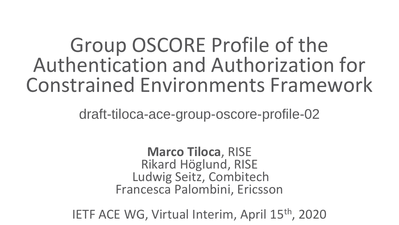### Group OSCORE Profile of the Authentication and Authorization for Constrained Environments Framework

draft-tiloca-ace-group-oscore-profile-02

**Marco Tiloca**, RISE Rikard Höglund, RISE Ludwig Seitz, Combitech Francesca Palombini, Ericsson

IETF ACE WG, Virtual Interim, April 15th, 2020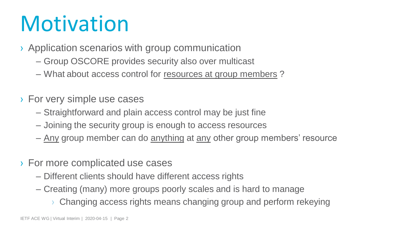### **Motivation**

- › Application scenarios with group communication
	- Group OSCORE provides security also over multicast
	- What about access control for resources at group members ?
- › For very simple use cases
	- Straightforward and plain access control may be just fine
	- Joining the security group is enough to access resources
	- Any group member can do anything at any other group members' resource
- › For more complicated use cases
	- Different clients should have different access rights
	- Creating (many) more groups poorly scales and is hard to manage
		- › Changing access rights means changing group and perform rekeying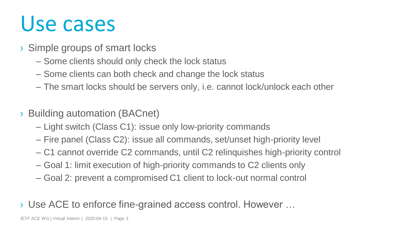### Use cases

- › Simple groups of smart locks
	- Some clients should only check the lock status
	- Some clients can both check and change the lock status
	- The smart locks should be servers only, i.e. cannot lock/unlock each other
- › Building automation (BACnet)
	- Light switch (Class C1): issue only low-priority commands
	- Fire panel (Class C2): issue all commands, set/unset high-priority level
	- C1 cannot override C2 commands, until C2 relinquishes high-priority control
	- Goal 1: limit execution of high-priority commands to C2 clients only
	- Goal 2: prevent a compromised C1 client to lock-out normal control

### › Use ACE to enforce fine-grained access control. However …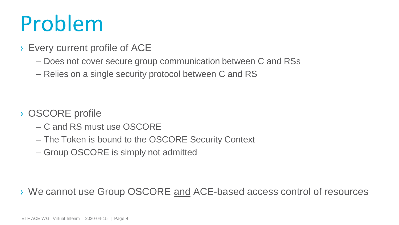### Problem

### › Every current profile of ACE

- Does not cover secure group communication between C and RSs
- Relies on a single security protocol between C and RS

- › OSCORE profile
	- C and RS must use OSCORE
	- The Token is bound to the OSCORE Security Context
	- Group OSCORE is simply not admitted

› We cannot use Group OSCORE and ACE-based access control of resources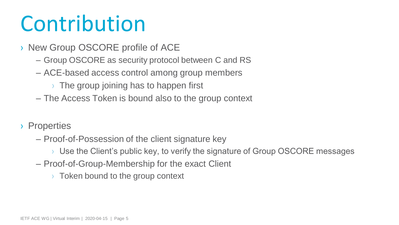### Contribution

- › New Group OSCORE profile of ACE
	- Group OSCORE as security protocol between C and RS
	- ACE-based access control among group members
		- $\rightarrow$  The group joining has to happen first
	- The Access Token is bound also to the group context
- › Properties
	- Proof-of-Possession of the client signature key
		- › Use the Client"s public key, to verify the signature of Group OSCORE messages
	- Proof-of-Group-Membership for the exact Client
		- $\rightarrow$  Token bound to the group context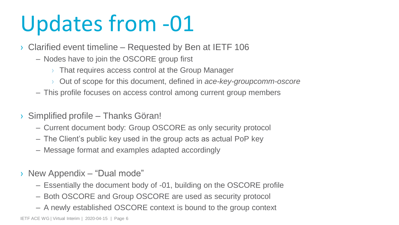### Updates from -01

- › Clarified event timeline Requested by Ben at IETF 106
	- Nodes have to join the OSCORE group first
		- › That requires access control at the Group Manager
		- › Out of scope for this document, defined in *ace-key-groupcomm-oscore*
	- This profile focuses on access control among current group members
- › Simplified profile Thanks Göran!
	- Current document body: Group OSCORE as only security protocol
	- The Client"s public key used in the group acts as actual PoP key
	- Message format and examples adapted accordingly
- › New Appendix "Dual mode"
	- Essentially the document body of -01, building on the OSCORE profile
	- Both OSCORE and Group OSCORE are used as security protocol
	- A newly established OSCORE context is bound to the group context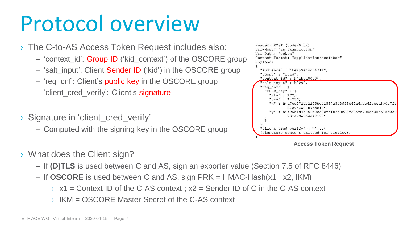### Protocol overview

- › The C-to-AS Access Token Request includes also:
	- 'context id': Group ID ('kid context') of the OSCORE group
	- 'salt\_input': Client Sender ID ('kid') in the OSCORE group
	- 'req\_cnf': Client's public key in the OSCORE group
	- 'client cred verify': Client's signature
- > Signature in 'client cred verify'
	- Computed with the signing key in the OSCORE group

```
Header: POST (Code=0.02)
Uri-Host: "as.example.com"
Uri-Path: "token"
Content-Format: "application/ace+cbor"
Payload:
  "audience" : "tempSensor4711",
  "scope" : "read",
  "context_id": h'abcd0000',
   'salt input" : h'00',
  "req_cnf" : {
    "COSE Key" : {
      "kty" : EC2,
      "\text{crv}" : P-256,
      "x" : h'd7cc072de2205bdc1537a543d53c60a6acb62eccd890c7fa
              27c9e354089bbe13'.
      "v" : h'f95e1d4b851a2cc80fff87d8e23f22afb725d535e515d020
               731e79a3b4e47120'\cdot"client_cred_verify" : h'...'
  (signature content omitted for brevity),
```
**Access Token Request**

- › What does the Client sign?
	- If **(D)TLS** is used between C and AS, sign an exporter value (Section 7.5 of RFC 8446)
	- If **OSCORE** is used between C and AS, sign PRK = HMAC-Hash(x1 | x2, IKM)
		- $\rightarrow$  x1 = Context ID of the C-AS context;  $x^2$  = Sender ID of C in the C-AS context
		- › IKM = OSCORE Master Secret of the C-AS context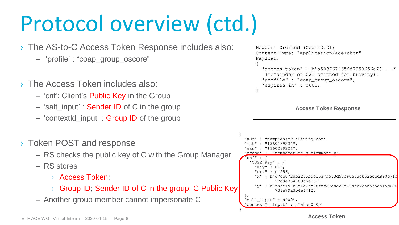### Protocol overview (ctd.)

- › The AS-to-C Access Token Response includes also:
	- "profile" : "coap\_group\_oscore"
- › The Access Token includes also:
	- "cnf": Client"s Public Key in the Group
	- 'salt input' : **Sender ID** of C in the group
	- "contextId\_input" : Group ID of the group
- › Token POST and response
	- RS checks the public key of C with the Group Manager
	- RS stores
		- › Access Token;
		- › Group ID; Sender ID of C in the group; C Public Key
	- Another group member cannot impersonate C

```
Header: Created (Code=2.01)
Content-Type: "application/ace+cbor"
Payload:
  "access token": h'a5037674656d7053656e73...'
   (remainder of CWT omitted for brevity),
  "profile" : "coap_group_oscore",
  "expires_in": 3600,
```
**Access Token Response**



**Access Token**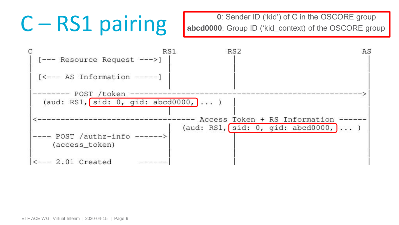C – RS1 pairing abcd0000: Group ID ('kid') of C in the OSCORE group<br>abcd0000: Group ID ('kid\_context) of the OSCORE group **abcd0000**: Group ID ('kid\_context) of the OSCORE group

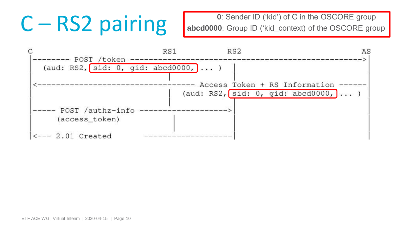C – RS2 pairing abcd0000: Group ID ('kid') of C in the OSCORE group<br>abcd0000: Group ID ('kid\_context) of the OSCORE group abcd0000: Group ID ('kid\_context) of the OSCORE group

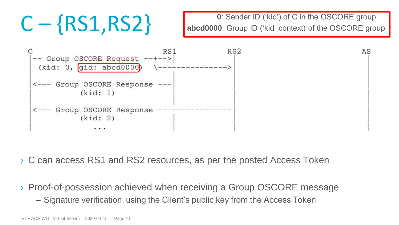C – {RS1,RS2} **Dender ID** ('kid') of C in the OSCORE group **C** – {RS1,RS2} **Dender ID** ('kid\_context) of the OSCORE group abcd0000: Group ID ('kid\_context) of the OSCORE group



- › C can access RS1 and RS2 resources, as per the posted Access Token
- › Proof-of-possession achieved when receiving a Group OSCORE message
	- Signature verification, using the Client"s public key from the Access Token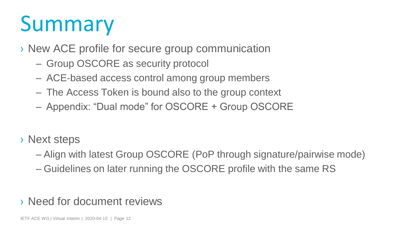### Summary

› New ACE profile for secure group communication

- Group OSCORE as security protocol
- ACE-based access control among group members
- The Access Token is bound also to the group context
- Appendix: "Dual mode" for OSCORE + Group OSCORE
- › Next steps
	- Align with latest Group OSCORE (PoP through signature/pairwise mode)
	- Guidelines on later running the OSCORE profile with the same RS

### › Need for document reviews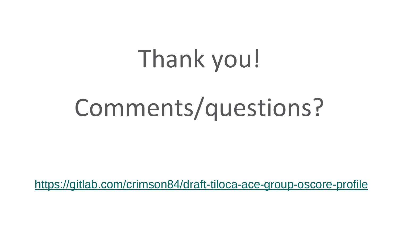# Thank you!

# Comments/questions?

[https://gitlab.com/crimson84/draft-tiloca-ace-group-oscore-profile](https://gitlab.com/crimson84/draft-tiloca-core-observe-responses-multicast)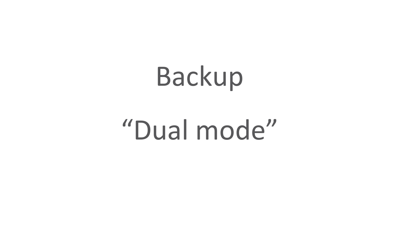# Backup

## "Dual mode"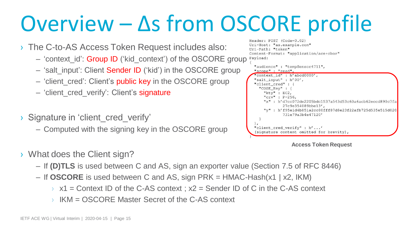### Overview – Δs from OSCORE profile

- › The C-to-AS Access Token Request includes also:
	- Content-Format: "application/ace+cbor" – 'context id': Group ID ('kid context') of the OSCORE group Payload:
	- 'salt\_input': Client Sender ID ('kid') in the OSCORE group
	- 'client\_cred': Client's public key in the OSCORE group
	- 'client\_cred\_verify': Client's signature
- > Signature in 'client cred verify'
	- Computed with the signing key in the OSCORE group



Header:  $POST (Code=0.02)$ Uri-Host: "as.example.com"

Uri-Path: "token"

### **Access Token Request**

- › What does the Client sign?
	- If **(D)TLS** is used between C and AS, sign an exporter value (Section 7.5 of RFC 8446)
	- If **OSCORE** is used between C and AS, sign PRK = HMAC-Hash(x1 | x2, IKM)
		- $\rightarrow$  x1 = Context ID of the C-AS context;  $x2$  = Sender ID of C in the C-AS context
		- › IKM = OSCORE Master Secret of the C-AS context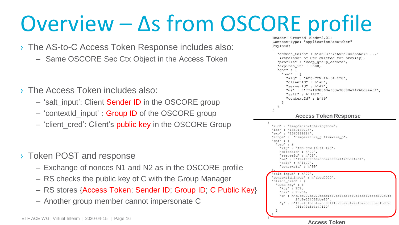# Overview – Δs from OSCORE profile

- › The AS-to-C Access Token Response includes also:
	- Same OSCORE Sec Ctx Object in the Access Token
- › The Access Token includes also:
	- 'salt input': Client Sender ID in the OSCORE group
	- 'contextid input' : **Group ID** of the OSCORE group
	- 'client cred': Client's public key in the OSCORE Group
- › Token POST and response
	- Exchange of nonces N1 and N2 as in the OSCORE profile
	- RS checks the public key of C with the Group Manager
	- RS stores {Access Token; Sender ID; Group ID; C Public Key}
	- Another group member cannot impersonate C

```
Content-Type: "application/ace+cbor"
Pavload:
   "access token": h'a5037674656d7053656e73...'
   (remainder of CWT omitted for brevity).
  "profile" : "coap group oscore",
   "expires in" : 3600,
   "cnf": \{"osc" :"alg" : "AES-CCM-16-64-128",
       "clientId" : h'a8',
       "serverId" : h'42',
       "ms": h'f9af838368e353e78888e1426bd94e6f',
       "salt" : h'1122',
       "contextId" : h'99'
           Access Token Response
"aud" : "tempSensorInLivingRoom",
"iat": "1360189224",
"exp": "1360289224",
"scope": "temperature_q firmware_p",
"cnf": {
  "osc" :"alg" : "AES-CCM-16-64-128",
    "clientId" : h'00',
    "serverId" : h'01',
        : h'f9af838368e353e78888e1426bd94e6f',
    "salt" : h'1122',
    "contextId" : h'99'
 salt_input": h'00',
"contextId_input" : h'abcd0000',
"client cred" : {
  "COSE Kev" : {
    "kty" : EC2,"crv" : P-256,
    "x" : h'd7cc072de2205bdc1537a543d53c60a6acb62eccd890c7fa
           27c9e354089bbe13',
   "y" : h'f95e1d4b851a2cc80fff87d8e23f22afb725d535e515d020
           731e79a3b4e47120'
```
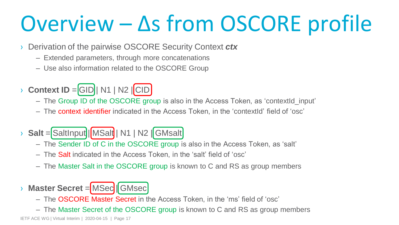### Overview – Δs from OSCORE profile

- › Derivation of the pairwise OSCORE Security Context *ctx*
	- Extended parameters, through more concatenations
	- Use also information related to the OSCORE Group
- $\rightarrow$  **Context ID** = GID | N1 | N2  $\vert$  CID
	- The Group ID of the OSCORE group is also in the Access Token, as "contextId\_input"
	- The context identifier indicated in the Access Token, in the "contextId" field of "osc"
- > **Salt** = SaltInput | MSalt | N1 | N2 | GMsalt
	- The Sender ID of C in the OSCORE group is also in the Access Token, as "salt"
	- The Salt indicated in the Access Token, in the "salt" field of "osc"
	- The Master Salt in the OSCORE group is known to C and RS as group members
- **› Master Secret = MSec | GMsec** 
	- The OSCORE Master Secret in the Access Token, in the 'ms' field of 'osc'
	- The Master Secret of the OSCORE group is known to C and RS as group members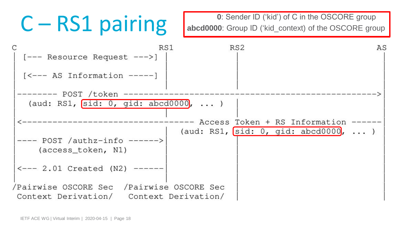C – RS1 pairing abcd0000: Group ID ('kid') of C in the OSCORE group<br>abcd0000: Group ID ('kid\_context) of the OSCORE group abcd0000: Group ID ('kid\_context) of the OSCORE group

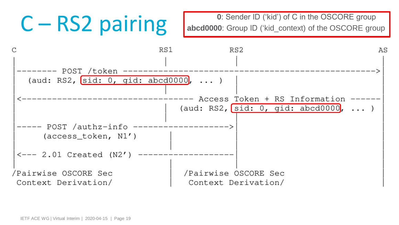C – RS2 pairing abcd0000: Group ID ('kid') of C in the OSCORE group<br>abcd0000: Group ID ('kid\_context) of the OSCORE group abcd0000: Group ID ('kid\_context) of the OSCORE group